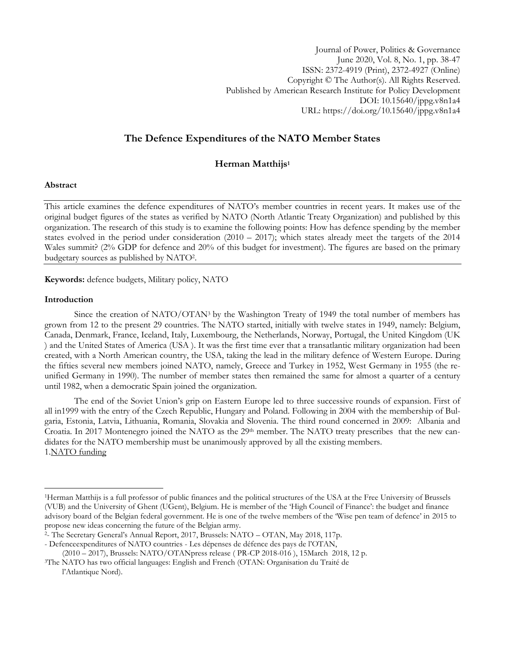Journal of Power, Politics & Governance June 2020, Vol. 8, No. 1, pp. 38-47 ISSN: 2372-4919 (Print), 2372-4927 (Online) Copyright © The Author(s). All Rights Reserved. Published by American Research Institute for Policy Development DOI: 10.15640/jppg.v8n1a4 URL: https://doi.org/10.15640/jppg.v8n1a4

# **The Defence Expenditures of the NATO Member States**

## **Herman Matthijs<sup>1</sup>**

## **Abstract**

This article examines the defence expenditures of NATO"s member countries in recent years. It makes use of the original budget figures of the states as verified by NATO (North Atlantic Treaty Organization) and published by this organization. The research of this study is to examine the following points: How has defence spending by the member states evolved in the period under consideration  $(2010 - 2017)$ ; which states already meet the targets of the 2014 Wales summit? (2% GDP for defence and 20% of this budget for investment). The figures are based on the primary budgetary sources as published by NATO<sup>2</sup> .

**Keywords:** defence budgets, Military policy, NATO

#### **Introduction**

 $\overline{a}$ 

Since the creation of NATO/OTAN<sup>3</sup> by the Washington Treaty of 1949 the total number of members has grown from 12 to the present 29 countries. The NATO started, initially with twelve states in 1949, namely: Belgium, Canada, Denmark, France, Iceland, Italy, Luxembourg, the Netherlands, Norway, Portugal, the United Kingdom (UK ) and the United States of America (USA ). It was the first time ever that a transatlantic military organization had been created, with a North American country, the USA, taking the lead in the military defence of Western Europe. During the fifties several new members joined NATO, namely, Greece and Turkey in 1952, West Germany in 1955 (the reunified Germany in 1990). The number of member states then remained the same for almost a quarter of a century until 1982, when a democratic Spain joined the organization.

The end of the Soviet Union"s grip on Eastern Europe led to three successive rounds of expansion. First of all in1999 with the entry of the Czech Republic, Hungary and Poland. Following in 2004 with the membership of Bulgaria, Estonia, Latvia, Lithuania, Romania, Slovakia and Slovenia. The third round concerned in 2009: Albania and Croatia. In 2017 Montenegro joined the NATO as the 29<sup>th</sup> member. The NATO treaty prescribes that the new candidates for the NATO membership must be unanimously approved by all the existing members. 1.NATO funding

<sup>1</sup>Herman Matthijs is a full professor of public finances and the political structures of the USA at the Free University of Brussels (VUB) and the University of Ghent (UGent), Belgium. He is member of the "High Council of Finance": the budget and finance advisory board of the Belgian federal government. He is one of the twelve members of the "Wise pen team of defence" in 2015 to propose new ideas concerning the future of the Belgian army.

<sup>2</sup> - The Secretary General"s Annual Report, 2017, Brussels: NATO – OTAN, May 2018, 117p.

<sup>-</sup> Defenceexpenditures of NATO countries - Les dépenses de défence des pays de l"OTAN, (2010 – 2017), Brussels: NATO/OTANpress release ( PR-CP 2018-016 ), 15March 2018, 12 p.

<sup>3</sup>The NATO has two official languages: English and French (OTAN: Organisation du Traité de l"Atlantique Nord).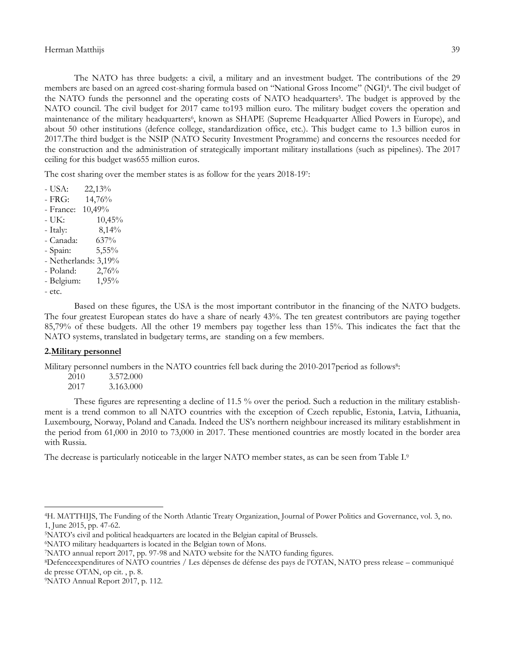The NATO has three budgets: a civil, a military and an investment budget. The contributions of the 29 members are based on an agreed cost-sharing formula based on "National Gross Income" (NGI)<sup>4</sup> . The civil budget of the NATO funds the personnel and the operating costs of NATO headquarters<sup>5</sup>. The budget is approved by the NATO council. The civil budget for 2017 came to193 million euro. The military budget covers the operation and maintenance of the military headquarters<sup>6</sup>, known as SHAPE (Supreme Headquarter Allied Powers in Europe), and about 50 other institutions (defence college, standardization office, etc.). This budget came to 1.3 billion euros in 2017.The third budget is the NSIP (NATO Security Investment Programme) and concerns the resources needed for the construction and the administration of strategically important military installations (such as pipelines). The 2017 ceiling for this budget was655 million euros.

The cost sharing over the member states is as follow for the years 2018-197:

 $-$  USA:  $22.13\%$ - FRG: 14,76% - France: 10,49%  $- UK: 10,45\%$ - Italy: 8,14% - Canada: 637% - Spain: 5,55% - Netherlands: 3,19% - Poland: 2,76% - Belgium: 1,95% - etc.

Based on these figures, the USA is the most important contributor in the financing of the NATO budgets. The four greatest European states do have a share of nearly 43%. The ten greatest contributors are paying together 85,79% of these budgets. All the other 19 members pay together less than 15%. This indicates the fact that the NATO systems, translated in budgetary terms, are standing on a few members.

## **2.Military personnel**

 $\overline{a}$ 

Military personnel numbers in the NATO countries fell back during the 2010-2017 period as follows<sup>8</sup>:

| 2010 | 3.572.000 |
|------|-----------|
| 2017 | 3.163.000 |

These figures are representing a decline of 11.5 % over the period. Such a reduction in the military establishment is a trend common to all NATO countries with the exception of Czech republic, Estonia, Latvia, Lithuania, Luxembourg, Norway, Poland and Canada. Indeed the US"s northern neighbour increased its military establishment in the period from 61,000 in 2010 to 73,000 in 2017. These mentioned countries are mostly located in the border area with Russia.

The decrease is particularly noticeable in the larger NATO member states, as can be seen from Table I.<sup>9</sup>

<sup>4</sup>H. MATTHIJS, The Funding of the North Atlantic Treaty Organization, Journal of Power Politics and Governance, vol. 3, no. 1, June 2015, pp. 47-62.

<sup>5</sup>NATO"s civil and political headquarters are located in the Belgian capital of Brussels.

<sup>6</sup>NATO military headquarters is located in the Belgian town of Mons.

<sup>7</sup>NATO annual report 2017, pp. 97-98 and NATO website for the NATO funding figures.

<sup>8</sup>Defenceexpenditures of NATO countries / Les dépenses de défense des pays de l"OTAN, NATO press release – communiqué de presse OTAN, op cit. , p. 8.

<sup>9</sup>NATO Annual Report 2017, p. 112.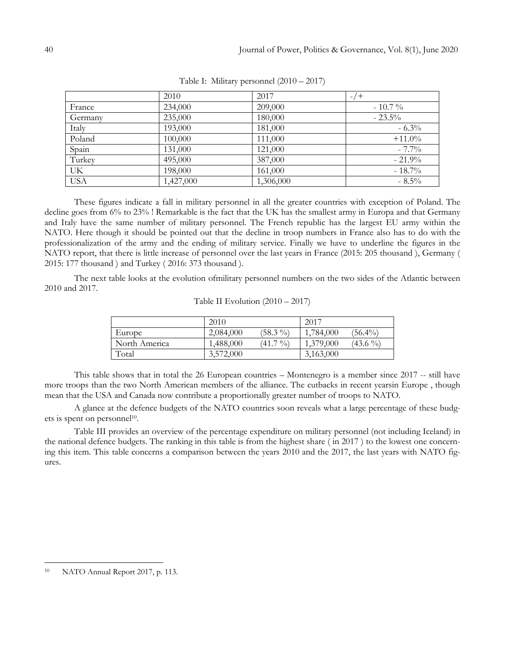|            | 2010      | 2017      | $-7$ +    |
|------------|-----------|-----------|-----------|
| France     | 234,000   | 209,000   | $-10.7\%$ |
| Germany    | 235,000   | 180,000   | $-23.5%$  |
| Italy      | 193,000   | 181,000   | $-6.3\%$  |
| Poland     | 100,000   | 111,000   | $+11.0%$  |
| Spain      | 131,000   | 121,000   | $-7.7\%$  |
| Turkey     | 495,000   | 387,000   | $-21.9%$  |
| UK         | 198,000   | 161,000   | $-18.7%$  |
| <b>USA</b> | 1,427,000 | 1,306,000 | $-8.5\%$  |

Table I: Military personnel (2010 – 2017)

These figures indicate a fall in military personnel in all the greater countries with exception of Poland. The decline goes from 6% to 23% ! Remarkable is the fact that the UK has the smallest army in Europa and that Germany and Italy have the same number of military personnel. The French republic has the largest EU army within the NATO. Here though it should be pointed out that the decline in troop numbers in France also has to do with the professionalization of the army and the ending of military service. Finally we have to underline the figures in the NATO report, that there is little increase of personnel over the last years in France (2015: 205 thousand ), Germany ( 2015: 177 thousand ) and Turkey ( 2016: 373 thousand ).

The next table looks at the evolution ofmilitary personnel numbers on the two sides of the Atlantic between 2010 and 2017.

|               | 2010      |            | 2017      |            |
|---------------|-----------|------------|-----------|------------|
| Europe        | 2,084,000 | $(58.3\%)$ | 1,784,000 | $(56.4\%)$ |
| North America | 1,488,000 | $(41.7\%)$ | 1,379,000 | $(43.6\%)$ |
| Total         | 3,572,000 |            | 3,163,000 |            |

Table II Evolution (2010 – 2017)

This table shows that in total the 26 European countries – Montenegro is a member since 2017 -- still have more troops than the two North American members of the alliance. The cutbacks in recent yearsin Europe , though mean that the USA and Canada now contribute a proportionally greater number of troops to NATO.

A glance at the defence budgets of the NATO countries soon reveals what a large percentage of these budgets is spent on personnel<sup>10</sup>.

Table III provides an overview of the percentage expenditure on military personnel (not including Iceland) in the national defence budgets. The ranking in this table is from the highest share ( in 2017 ) to the lowest one concerning this item. This table concerns a comparison between the years 2010 and the 2017, the last years with NATO figures.

<sup>10</sup> NATO Annual Report 2017, p. 113.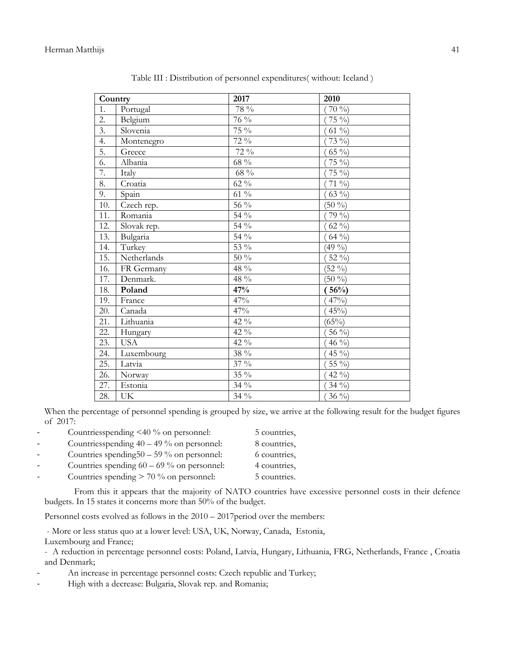| Country           |             | 2017             | 2010              |
|-------------------|-------------|------------------|-------------------|
| 1.                | Portugal    | 78 %             | $70\%$            |
| $\overline{2}$ .  | Belgium     | 76 %             | $\frac{1}{75}$ %) |
| $\overline{3}$ .  | Slovenia    | $75\%$           | $(61\%)$          |
| 4.                | Montenegro  | 72 %             | 73 %)             |
| $\overline{5}$ .  | Greece      | 72 %             | $(65\%)$          |
| 6.                | Albania     | 68 %             | $75\%$            |
| 7.                | Italy       | $68~\%$          | $\frac{1}{75}$ %) |
| 8.                | Croatia     | 62 %             | $71\%$            |
| 9.                | Spain       | $61\%$           | $63\%$            |
| 10.               | Czech rep.  | 56 %             | $(50\%)$          |
| 11.               | Romania     | 54 %             | 79 %)             |
| 12.               | Slovak rep. | 54 %             | 62 %)             |
| 13.               | Bulgaria    | 54 %             | $64\%$            |
| 14.               | Turkey      | 53 %             | $(49\%)$          |
| 15.               | Netherlands | $\frac{1}{50}$ % | 52 %)             |
| 16.               | FR Germany  | 48 %             | $(52\frac{9}{6})$ |
| 17.               | Denmark.    | 48 %             | $(50\%)$          |
| 18.               | Poland      | 47%              | $\sqrt{(56\%)}$   |
| 19.               | France      | 47%              | $47\%$            |
| 20.               | Canada      | 47%              | $45\%$            |
| 21.               | Lithuania   | 42 %             | (65%)             |
| 22.               | Hungary     | 42 %             | 56 %)             |
| 23.               | <b>USA</b>  | 42 %             | $\frac{46}{9}$ %) |
| 24.               | Luxembourg  | 38 %             | 45 %)             |
| $\overline{25}$ . | Latvia      | 37 %             | 55 %)             |
| 26.               | Norway      | 35 %             | 42 %)             |
| 27.               | Estonia     | 34 %             | 34 $\%$           |
| 28.               | <b>UK</b>   | 34 %             | $36\%$            |

Table III : Distribution of personnel expenditures( without: Iceland )

When the percentage of personnel spending is grouped by size, we arrive at the following result for the budget figures of 2017:

| $\overline{\phantom{a}}$ | Countriesspending $\leq 40\%$ on personnel:  | 5 countries, |
|--------------------------|----------------------------------------------|--------------|
| $\overline{\phantom{a}}$ | Countriesspending $40 - 49\%$ on personnel:  | 8 countries, |
| $\overline{\phantom{0}}$ | Countries spending $50 - 59\%$ on personnel: | 6 countries, |
| $\overline{\phantom{0}}$ | Countries spending $60 - 69\%$ on personnel: | 4 countries, |
| $\overline{\phantom{a}}$ | Countries spending $> 70\%$ on personnel:    | 5 countries. |

From this it appears that the majority of NATO countries have excessive personnel costs in their defence budgets. In 15 states it concerns more than 50% of the budget.

Personnel costs evolved as follows in the  $2010 - 2017$  period over the members:

- More or less status quo at a lower level: USA, UK, Norway, Canada, Estonia, Luxembourg and France;

- A reduction in percentage personnel costs: Poland, Latvia, Hungary, Lithuania, FRG, Netherlands, France , Croatia and Denmark;

An increase in percentage personnel costs: Czech republic and Turkey;

- High with a decrease: Bulgaria, Slovak rep. and Romania;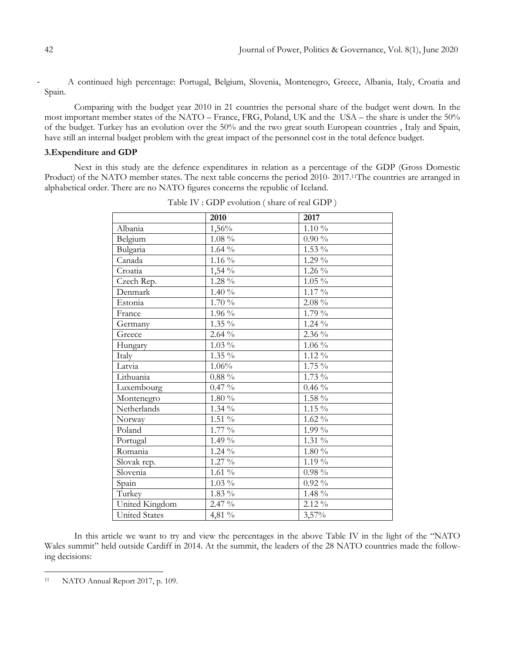A continued high percentage: Portugal, Belgium, Slovenia, Montenegro, Greece, Albania, Italy, Croatia and Spain.

Comparing with the budget year 2010 in 21 countries the personal share of the budget went down. In the most important member states of the NATO – France, FRG, Poland, UK and the USA – the share is under the 50% of the budget. Turkey has an evolution over the 50% and the two great south European countries , Italy and Spain, have still an internal budget problem with the great impact of the personnel cost in the total defence budget.

### **3.Expenditure and GDP**

Next in this study are the defence expenditures in relation as a percentage of the GDP (Gross Domestic Product) of the NATO member states. The next table concerns the period 2010- 2017.11The countries are arranged in alphabetical order. There are no NATO figures concerns the republic of Iceland.

|                      | 2010                                   | 2017                       |
|----------------------|----------------------------------------|----------------------------|
| Albania              | 1,56%                                  | $1.10\%$                   |
| Belgium              | $1.08\%$                               | $0.90\,\frac{\sqrt{0}}{2}$ |
| Bulgaria             | $1.64~\%$                              | $1.53\%$                   |
| Canada               | 1.16 $\%$                              | $1.29\%$                   |
| Croatia              | 1,54 %                                 | $1.26\%$                   |
| Czech Rep.           | $1.28~\%$                              | $1.05\%$                   |
| Denmark              | 1.40%                                  | $1.17\%$                   |
| Estonia              | $1.70\%$                               | $2.08\%$                   |
| France               | $1.96\%$                               | $1.79\%$                   |
| Germany              | $1.35\%$                               | $1.24\%$                   |
| Greece               | $2.64\%$                               | 2.36 %                     |
| Hungary              | $1.03\%$                               | $1.06\%$                   |
| Italy                | $1.35\%$                               | $1.12\%$                   |
| Latvia               | 1.06%                                  | $1.75\%$                   |
| Lithuania            | $0.88\;\%$                             | $1.73\%$                   |
| Luxembourg           | $0.47~\%$                              | $0.46~\%$                  |
| Montenegro           | $1.80\%$                               | 1.58 %                     |
| Netherlands          | $1.34\sqrt[6]{\overline{\phantom{0}}}$ | $1.15\%$                   |
| Norway               | $1.51\%$                               | $1.62\%$                   |
| Poland               | 1.77 %                                 | 1.99 %                     |
| Portugal             | $1.49\%$                               | $1.31\%$                   |
| Romania              | $1.24\%$                               | $1.80\%$                   |
| Slovak rep.          | $1.27\sqrt[9]{6}$                      | 1.19 %                     |
| Slovenia             | $1.61\%$                               | $0.98\%$                   |
| Spain                | $1.03\%$                               | $0.92\%$                   |
| Turkey               | $1.83\%$                               | 1.48 %                     |
| United Kingdom       | 2.47 %                                 | $2.12\%$                   |
| <b>United States</b> | 4,81 %                                 | 3,57%                      |

Table IV : GDP evolution ( share of real GDP )

In this article we want to try and view the percentages in the above Table IV in the light of the "NATO Wales summit" held outside Cardiff in 2014. At the summit, the leaders of the 28 NATO countries made the following decisions:

<sup>11</sup> NATO Annual Report 2017, p. 109.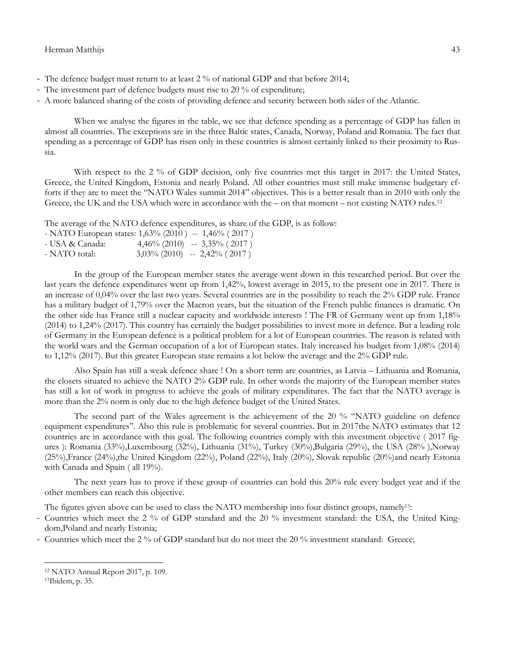#### Herman Matthijs 43

- The defence budget must return to at least 2 % of national GDP and that before 2014;
- The investment part of defence budgets must rise to 20 % of expenditure;
- A more balanced sharing of the costs of providing defence and security between both sides of the Atlantic.

When we analyse the figures in the table, we see that defence spending as a percentage of GDP has fallen in almost all countries. The exceptions are in the three Baltic states, Canada, Norway, Poland and Romania. The fact that spending as a percentage of GDP has risen only in these countries is almost certainly linked to their proximity to Russia.

With respect to the 2 % of GDP decision, only five countries met this target in 2017: the United States, Greece, the United Kingdom, Estonia and nearly Poland. All other countries must still make immense budgetary efforts if they are to meet the "NATO Wales summit 2014" objectives. This is a better result than in 2010 with only the Greece, the UK and the USA which were in accordance with the – on that moment – not existing NATO rules.<sup>12</sup>

The average of the NATO defence expenditures, as share of the GDP, is as follow:

| - NATO European states: $1,63\%$ (2010) -- $1,46\%$ (2017) |  |  |  |  |
|------------------------------------------------------------|--|--|--|--|
|------------------------------------------------------------|--|--|--|--|

| - USA & Canada: | $4,46\%$ (2010) | $-3,35\%$ (2017)                |
|-----------------|-----------------|---------------------------------|
| - NATO total:   |                 | $3,03\%$ (2010) -- 2,42% (2017) |

In the group of the European member states the average went down in this researched period. But over the last years the defence expenditures went up from 1,42%, lowest average in 2015, to the present one in 2017. There is an increase of 0,04% over the last two years. Several countries are in the possibility to reach the 2% GDP rule. France has a military budget of 1,79% over the Macron years, but the situation of the French public finances is dramatic. On the other side has France still a nuclear capacity and worldwide interests ! The FR of Germany went up from 1,18% (2014) to 1,24% (2017). This country has certainly the budget possibilities to invest more in defence. But a leading role of Germany in the European defence is a political problem for a lot of European countries. The reason is related with the world wars and the German occupation of a lot of European states. Italy increased his budget from 1,08% (2014) to 1,12% (2017). But this greater European state remains a lot below the average and the 2% GDP rule.

Also Spain has still a weak defence share ! On a short term are countries, as Latvia – Lithuania and Romania, the closets situated to achieve the NATO 2% GDP rule. In other words the majority of the European member states has still a lot of work in progress to achieve the goals of military expenditures. The fact that the NATO average is more than the 2% norm is only due to the high defence budget of the United States.

The second part of the Wales agreement is the achievement of the 20 % "NATO guideline on defence equipment expenditures". Also this rule is problematic for several countries. But in 2017the NATO estimates that 12 countries are in accordance with this goal. The following countries comply with this investment objective ( 2017 figures ): Romania (33%),Luxembourg (32%), Lithuania (31%), Turkey (30%),Bulgaria (29%), the USA (28% ),Norway (25%),France (24%),the United Kingdom (22%), Poland (22%), Italy (20%), Slovak republic (20%)and nearly Estonia with Canada and Spain ( all 19%).

The next years has to prove if these group of countries can hold this 20% rule every budget year and if the other members can reach this objective.

The figures given above can be used to class the NATO membership into four distinct groups, namely<sup>13</sup>:

- Countries which meet the 2 % of GDP standard and the 20 % investment standard: the USA, the United Kingdom,Poland and nearly Estonia;
- Countries which meet the 2 % of GDP standard but do not meet the 20 % investment standard: Greece;

<sup>12</sup> NATO Annual Report 2017, p. 109.

<sup>13</sup>Ibidem, p. 35.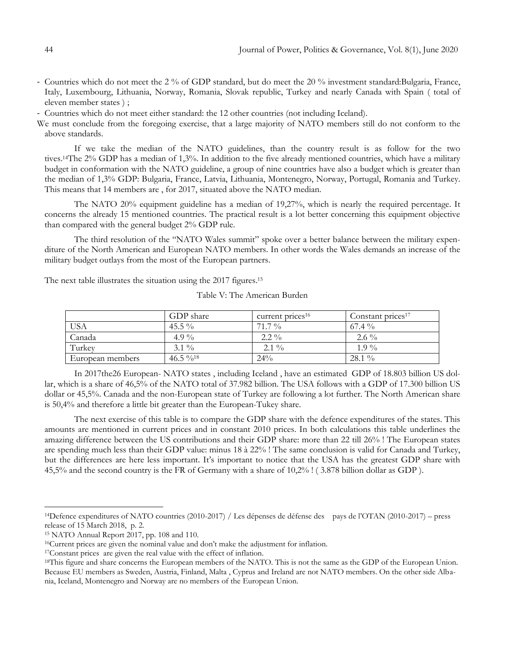- Countries which do not meet the 2 % of GDP standard, but do meet the 20 % investment standard:Bulgaria, France, Italy, Luxembourg, Lithuania, Norway, Romania, Slovak republic, Turkey and nearly Canada with Spain ( total of eleven member states ) ;
- Countries which do not meet either standard: the 12 other countries (not including Iceland).
- We must conclude from the foregoing exercise, that a large majority of NATO members still do not conform to the above standards.

If we take the median of the NATO guidelines, than the country result is as follow for the two tives.14The 2% GDP has a median of 1,3%. In addition to the five already mentioned countries, which have a military budget in conformation with the NATO guideline, a group of nine countries have also a budget which is greater than the median of 1,3% GDP: Bulgaria, France, Latvia, Lithuania, Montenegro, Norway, Portugal, Romania and Turkey. This means that 14 members are , for 2017, situated above the NATO median.

The NATO 20% equipment guideline has a median of 19,27%, which is nearly the required percentage. It concerns the already 15 mentioned countries. The practical result is a lot better concerning this equipment objective than compared with the general budget 2% GDP rule.

The third resolution of the "NATO Wales summit" spoke over a better balance between the military expenditure of the North American and European NATO members. In other words the Wales demands an increase of the military budget outlays from the most of the European partners.

The next table illustrates the situation using the 2017 figures.<sup>15</sup>

|                  | GDP share               | current prices <sup>16</sup> | Constant prices <sup>17</sup> |
|------------------|-------------------------|------------------------------|-------------------------------|
| <b>USA</b>       | 45.5 $\%$               | $71.7\%$                     | $67.4\%$                      |
| Canada           | 4.9 $\%$                | $2.2\%$                      | $2.6\%$                       |
| Turkey           | $3.1\%$                 | $2.1\%$                      | $1.9\%$                       |
| European members | 46.5 $\%$ <sup>18</sup> | $24\%$                       | $28.1\%$                      |

Table V: The American Burden

In 2017the26 European- NATO states , including Iceland , have an estimated GDP of 18.803 billion US dollar, which is a share of 46,5% of the NATO total of 37.982 billion. The USA follows with a GDP of 17.300 billion US dollar or 45,5%. Canada and the non-European state of Turkey are following a lot further. The North American share is 50,4% and therefore a little bit greater than the European-Tukey share.

The next exercise of this table is to compare the GDP share with the defence expenditures of the states. This amounts are mentioned in current prices and in constant 2010 prices. In both calculations this table underlines the amazing difference between the US contributions and their GDP share: more than 22 till 26% ! The European states are spending much less than their GDP value: minus 18 à 22% ! The same conclusion is valid for Canada and Turkey, but the differences are here less important. It's important to notice that the USA has the greatest GDP share with 45,5% and the second country is the FR of Germany with a share of 10,2% ! ( 3.878 billion dollar as GDP ).

<sup>14</sup>Defence expenditures of NATO countries (2010-2017) / Les dépenses de défense des pays de l"OTAN (2010-2017) – press release of 15 March 2018, p. 2.

<sup>15</sup> NATO Annual Report 2017, pp. 108 and 110.

<sup>16</sup>Current prices are given the nominal value and don"t make the adjustment for inflation.

<sup>17</sup>Constant prices are given the real value with the effect of inflation.

<sup>&</sup>lt;sup>18</sup>This figure and share concerns the European members of the NATO. This is not the same as the GDP of the European Union. Because EU members as Sweden, Austria, Finland, Malta , Cyprus and Ireland are not NATO members. On the other side Albania, Iceland, Montenegro and Norway are no members of the European Union.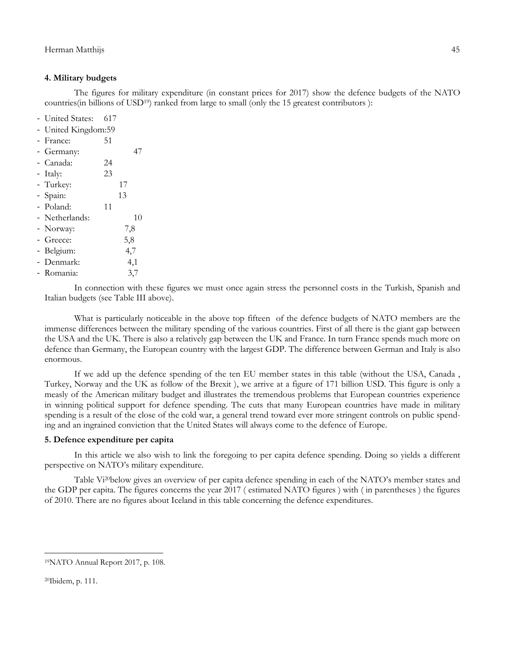## **4. Military budgets**

The figures for military expenditure (in constant prices for 2017) show the defence budgets of the NATO countries(in billions of USD19) ranked from large to small (only the 15 greatest contributors ):

- United States: 617

- United Kingdom:59
- France: 51
- Germany: 47
- Canada: 24
- Italy: 23
- Turkey: 17
- Spain: 13
- Poland: 11
- Netherlands: 10
- Norway: 7,8
- Greece: 5,8
- Belgium: 4,7
- Denmark: 4,1
- Romania: 3,7

In connection with these figures we must once again stress the personnel costs in the Turkish, Spanish and Italian budgets (see Table III above).

What is particularly noticeable in the above top fifteen of the defence budgets of NATO members are the immense differences between the military spending of the various countries. First of all there is the giant gap between the USA and the UK. There is also a relatively gap between the UK and France. In turn France spends much more on defence than Germany, the European country with the largest GDP. The difference between German and Italy is also enormous.

If we add up the defence spending of the ten EU member states in this table (without the USA, Canada , Turkey, Norway and the UK as follow of the Brexit ), we arrive at a figure of 171 billion USD. This figure is only a measly of the American military budget and illustrates the tremendous problems that European countries experience in winning political support for defence spending. The cuts that many European countries have made in military spending is a result of the close of the cold war, a general trend toward ever more stringent controls on public spending and an ingrained conviction that the United States will always come to the defence of Europe.

# **5. Defence expenditure per capita**

In this article we also wish to link the foregoing to per capita defence spending. Doing so yields a different perspective on NATO"s military expenditure.

Table Vi20below gives an overview of per capita defence spending in each of the NATO"s member states and the GDP per capita. The figures concerns the year 2017 ( estimated NATO figures ) with ( in parentheses ) the figures of 2010. There are no figures about Iceland in this table concerning the defence expenditures.

<sup>19</sup>NATO Annual Report 2017, p. 108.

<sup>20</sup>Ibidem, p. 111.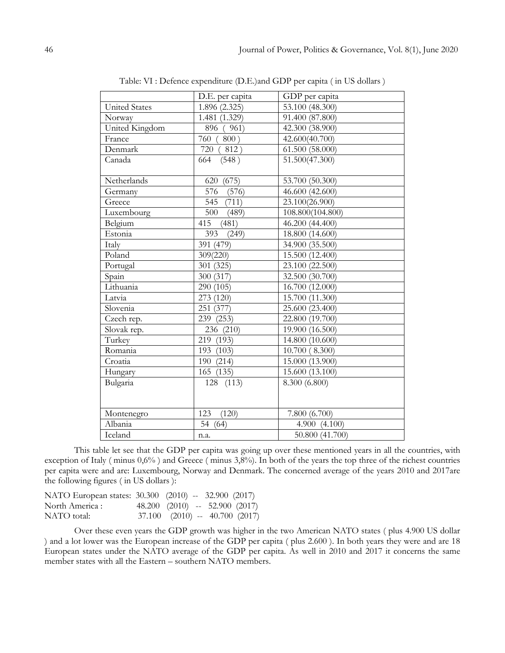|                      | D.E. per capita | GDP per capita   |
|----------------------|-----------------|------------------|
| <b>United States</b> | 1.896 (2.325)   | 53.100 (48.300)  |
| Norway               | 1.481 (1.329)   | 91.400 (87.800)  |
| United Kingdom       | 896 (961)       | 42.300 (38.900)  |
| France               | 760 (800)       | 42.600(40.700)   |
| Denmark              | 720 (<br>812)   | 61.500 (58.000)  |
| Canada               | 664<br>(548)    | 51.500(47.300)   |
|                      |                 |                  |
| Netherlands          | 620 (675)       | 53.700 (50.300)  |
| Germany              | 576<br>(576)    | 46.600 (42.600)  |
| Greece               | 545 (711)       | 23.100(26.900)   |
| Luxembourg           | 500<br>(489)    | 108.800(104.800) |
| Belgium              | 415<br>(481)    | 46.200 (44.400)  |
| Estonia              | 393<br>(249)    | 18.800 (14.600)  |
| Italy                | 391 (479)       | 34.900 (35.500)  |
| Poland               | 309(220)        | 15.500 (12.400)  |
| Portugal             | 301 (325)       | 23.100 (22.500)  |
| Spain                | 300 (317)       | 32.500 (30.700)  |
| Lithuania            | 290 (105)       | 16.700 (12.000)  |
| Latvia               | 273 (120)       | 15.700 (11.300)  |
| Slovenia             | 251 (377)       | 25.600 (23.400)  |
| Czech rep.           | 239 (253)       | 22.800 (19.700)  |
| Slovak rep.          | 236 (210)       | 19.900 (16.500)  |
| Turkey               | 219 (193)       | 14.800 (10.600)  |
| Romania              | 193 (103)       | 10.700 (8.300)   |
| Croatia              | 190 (214)       | 15.000 (13.900)  |
| Hungary              | 165 (135)       | 15.600 (13.100)  |
| Bulgaria             | 128 (113)       | 8.300 (6.800)    |
|                      |                 |                  |
|                      |                 |                  |
| Montenegro           | 123<br>(120)    | 7.800 (6.700)    |
| Albania              | 54 (64)         | 4.900(4.100)     |
| Iceland              | n.a.            | 50.800 (41.700)  |

Table: VI : Defence expenditure (D.E.)and GDP per capita ( in US dollars )

This table let see that the GDP per capita was going up over these mentioned years in all the countries, with exception of Italy ( minus 0,6% ) and Greece ( minus 3,8%). In both of the years the top three of the richest countries per capita were and are: Luxembourg, Norway and Denmark. The concerned average of the years 2010 and 2017are the following figures ( in US dollars ):

| NATO European states: 30.300 (2010) -- 32.900 (2017) |                                        |  |  |
|------------------------------------------------------|----------------------------------------|--|--|
| North America :                                      | $48.200$ $(2010)$ -- 52.900 $(2017)$   |  |  |
| NATO total:                                          | $37.100$ $(2010)$ -- $40.700$ $(2017)$ |  |  |

Over these even years the GDP growth was higher in the two American NATO states ( plus 4.900 US dollar ) and a lot lower was the European increase of the GDP per capita ( plus 2.600 ). In both years they were and are 18 European states under the NATO average of the GDP per capita. As well in 2010 and 2017 it concerns the same member states with all the Eastern – southern NATO members.